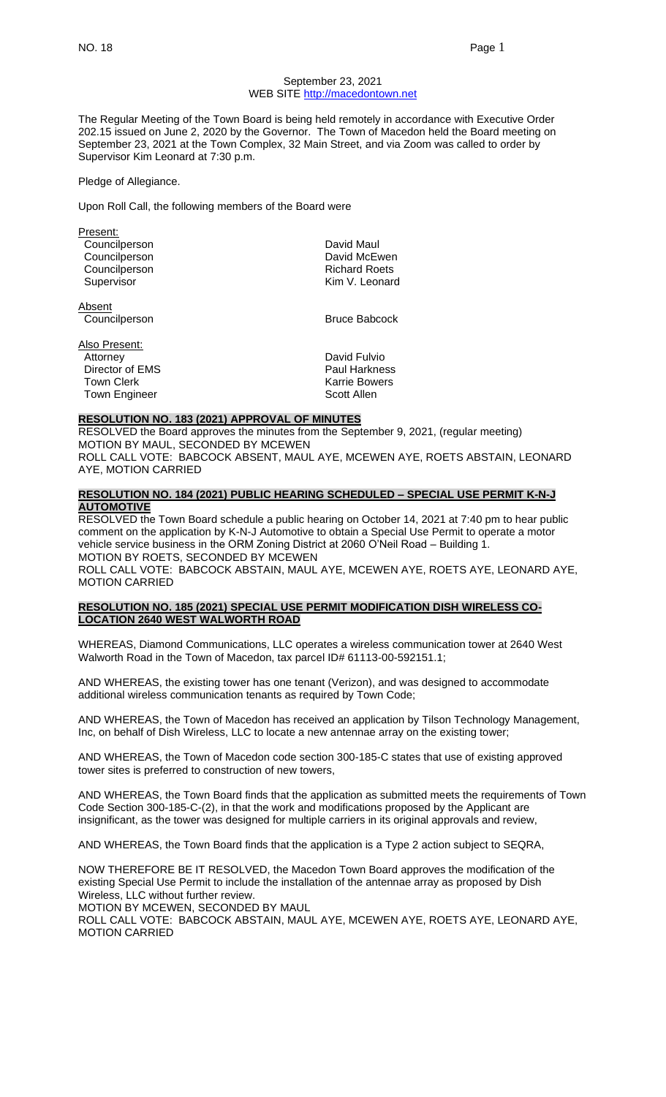#### September 23, 2021 WEB SITE [http://macedontown.net](http://macedontown.net/)

The Regular Meeting of the Town Board is being held remotely in accordance with Executive Order 202.15 issued on June 2, 2020 by the Governor. The Town of Macedon held the Board meeting on September 23, 2021 at the Town Complex, 32 Main Street, and via Zoom was called to order by Supervisor Kim Leonard at 7:30 p.m.

Pledge of Allegiance.

Upon Roll Call, the following members of the Board were

| Present:             |                      |
|----------------------|----------------------|
| Councilperson        | David Maul           |
| Councilperson        | David McEwen         |
| Councilperson        | <b>Richard Roets</b> |
| Supervisor           | Kim V. Leonard       |
| Absent               |                      |
| Councilperson        | <b>Bruce Babcock</b> |
| Also Present:        |                      |
| Attorney             | David Fulvio         |
| Director of EMS      | <b>Paul Harkness</b> |
| <b>Town Clerk</b>    | Karrie Bowers        |
| <b>Town Engineer</b> | Scott Allen          |

# **RESOLUTION NO. 183 (2021) APPROVAL OF MINUTES**

RESOLVED the Board approves the minutes from the September 9, 2021, (regular meeting) MOTION BY MAUL, SECONDED BY MCEWEN ROLL CALL VOTE: BABCOCK ABSENT, MAUL AYE, MCEWEN AYE, ROETS ABSTAIN, LEONARD

AYE, MOTION CARRIED

# **RESOLUTION NO. 184 (2021) PUBLIC HEARING SCHEDULED – SPECIAL USE PERMIT K-N-J AUTOMOTIVE**

RESOLVED the Town Board schedule a public hearing on October 14, 2021 at 7:40 pm to hear public comment on the application by K-N-J Automotive to obtain a Special Use Permit to operate a motor vehicle service business in the ORM Zoning District at 2060 O'Neil Road – Building 1. MOTION BY ROETS, SECONDED BY MCEWEN

ROLL CALL VOTE: BABCOCK ABSTAIN, MAUL AYE, MCEWEN AYE, ROETS AYE, LEONARD AYE, MOTION CARRIED

# **RESOLUTION NO. 185 (2021) SPECIAL USE PERMIT MODIFICATION DISH WIRELESS CO-LOCATION 2640 WEST WALWORTH ROAD**

WHEREAS, Diamond Communications, LLC operates a wireless communication tower at 2640 West Walworth Road in the Town of Macedon, tax parcel ID# 61113-00-592151.1;

AND WHEREAS, the existing tower has one tenant (Verizon), and was designed to accommodate additional wireless communication tenants as required by Town Code;

AND WHEREAS, the Town of Macedon has received an application by Tilson Technology Management, Inc, on behalf of Dish Wireless, LLC to locate a new antennae array on the existing tower;

AND WHEREAS, the Town of Macedon code section 300-185-C states that use of existing approved tower sites is preferred to construction of new towers,

AND WHEREAS, the Town Board finds that the application as submitted meets the requirements of Town Code Section 300-185-C-(2), in that the work and modifications proposed by the Applicant are insignificant, as the tower was designed for multiple carriers in its original approvals and review,

AND WHEREAS, the Town Board finds that the application is a Type 2 action subject to SEQRA,

NOW THEREFORE BE IT RESOLVED, the Macedon Town Board approves the modification of the existing Special Use Permit to include the installation of the antennae array as proposed by Dish Wireless, LLC without further review.

MOTION BY MCEWEN, SECONDED BY MAUL

ROLL CALL VOTE: BABCOCK ABSTAIN, MAUL AYE, MCEWEN AYE, ROETS AYE, LEONARD AYE, MOTION CARRIED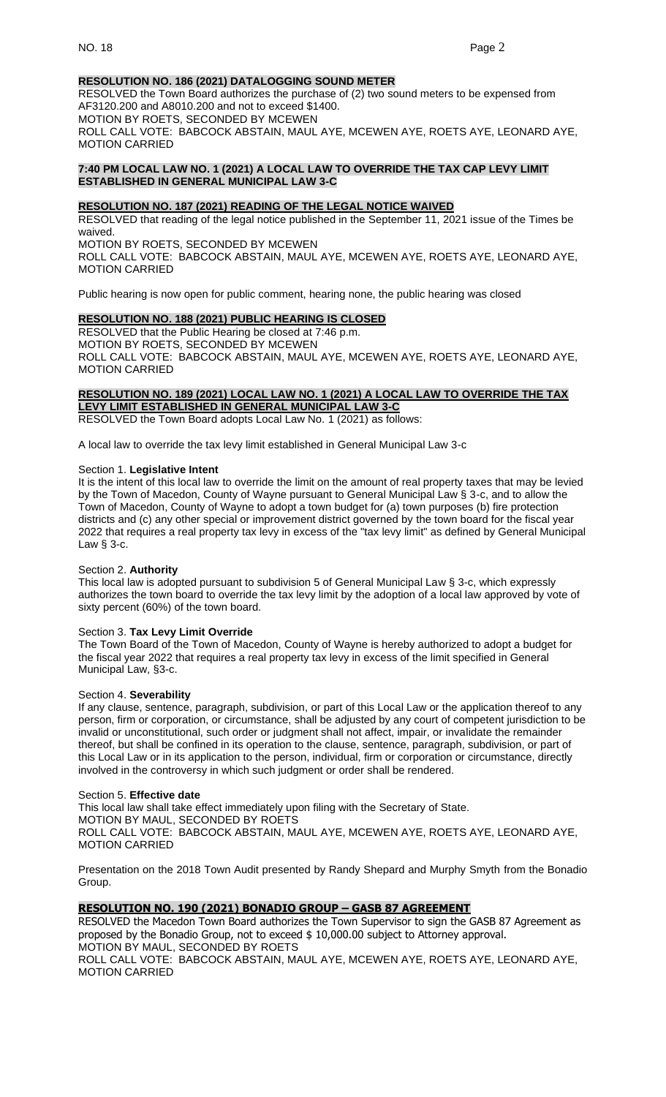# **RESOLUTION NO. 186 (2021) DATALOGGING SOUND METER**

RESOLVED the Town Board authorizes the purchase of (2) two sound meters to be expensed from AF3120.200 and A8010.200 and not to exceed \$1400. MOTION BY ROETS, SECONDED BY MCEWEN ROLL CALL VOTE: BABCOCK ABSTAIN, MAUL AYE, MCEWEN AYE, ROETS AYE, LEONARD AYE, MOTION CARRIED

# **7:40 PM LOCAL LAW NO. 1 (2021) A LOCAL LAW TO OVERRIDE THE TAX CAP LEVY LIMIT ESTABLISHED IN GENERAL MUNICIPAL LAW 3-C**

# **RESOLUTION NO. 187 (2021) READING OF THE LEGAL NOTICE WAIVED**

RESOLVED that reading of the legal notice published in the September 11, 2021 issue of the Times be waived. MOTION BY ROETS, SECONDED BY MCEWEN

ROLL CALL VOTE: BABCOCK ABSTAIN, MAUL AYE, MCEWEN AYE, ROETS AYE, LEONARD AYE, MOTION CARRIED

Public hearing is now open for public comment, hearing none, the public hearing was closed

# **RESOLUTION NO. 188 (2021) PUBLIC HEARING IS CLOSED**

RESOLVED that the Public Hearing be closed at 7:46 p.m. MOTION BY ROETS, SECONDED BY MCEWEN ROLL CALL VOTE: BABCOCK ABSTAIN, MAUL AYE, MCEWEN AYE, ROETS AYE, LEONARD AYE, MOTION CARRIED

#### **RESOLUTION NO. 189 (2021) LOCAL LAW NO. 1 (2021) A LOCAL LAW TO OVERRIDE THE TAX LEVY LIMIT ESTABLISHED IN GENERAL MUNICIPAL LAW 3-C**

RESOLVED the Town Board adopts Local Law No. 1 (2021) as follows:

A local law to override the tax levy limit established in General Municipal Law 3-c

#### Section 1. **Legislative Intent**

It is the intent of this local law to override the limit on the amount of real property taxes that may be levied by the Town of Macedon, County of Wayne pursuant to General Municipal Law § 3-c, and to allow the Town of Macedon, County of Wayne to adopt a town budget for (a) town purposes (b) fire protection districts and (c) any other special or improvement district governed by the town board for the fiscal year 2022 that requires a real property tax levy in excess of the "tax levy limit" as defined by General Municipal Law § 3-c.

#### Section 2. **Authority**

This local law is adopted pursuant to subdivision 5 of General Municipal Law § 3-c, which expressly authorizes the town board to override the tax levy limit by the adoption of a local law approved by vote of sixty percent (60%) of the town board.

#### Section 3. **Tax Levy Limit Override**

The Town Board of the Town of Macedon, County of Wayne is hereby authorized to adopt a budget for the fiscal year 2022 that requires a real property tax levy in excess of the limit specified in General Municipal Law, §3-c.

#### Section 4. **Severability**

If any clause, sentence, paragraph, subdivision, or part of this Local Law or the application thereof to any person, firm or corporation, or circumstance, shall be adjusted by any court of competent jurisdiction to be invalid or unconstitutional, such order or judgment shall not affect, impair, or invalidate the remainder thereof, but shall be confined in its operation to the clause, sentence, paragraph, subdivision, or part of this Local Law or in its application to the person, individual, firm or corporation or circumstance, directly involved in the controversy in which such judgment or order shall be rendered.

#### Section 5. **Effective date**

This local law shall take effect immediately upon filing with the Secretary of State.

MOTION BY MAUL, SECONDED BY ROETS

ROLL CALL VOTE: BABCOCK ABSTAIN, MAUL AYE, MCEWEN AYE, ROETS AYE, LEONARD AYE, MOTION CARRIED

Presentation on the 2018 Town Audit presented by Randy Shepard and Murphy Smyth from the Bonadio Group.

# **RESOLUTION NO. 190 (2021) BONADIO GROUP – GASB 87 AGREEMENT**

RESOLVED the Macedon Town Board authorizes the Town Supervisor to sign the GASB 87 Agreement as proposed by the Bonadio Group, not to exceed \$ 10,000.00 subject to Attorney approval. MOTION BY MAUL, SECONDED BY ROETS

ROLL CALL VOTE: BABCOCK ABSTAIN, MAUL AYE, MCEWEN AYE, ROETS AYE, LEONARD AYE, MOTION CARRIED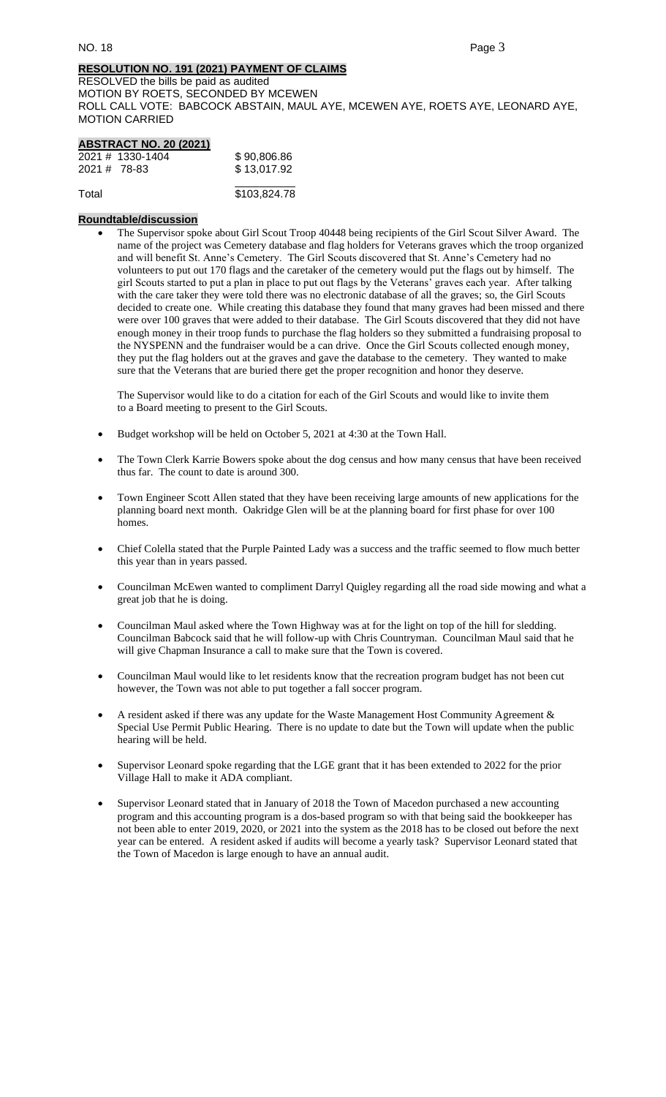# **RESOLUTION NO. 191 (2021) PAYMENT OF CLAIMS**

RESOLVED the bills be paid as audited MOTION BY ROETS, SECONDED BY MCEWEN ROLL CALL VOTE: BABCOCK ABSTAIN, MAUL AYE, MCEWEN AYE, ROETS AYE, LEONARD AYE, MOTION CARRIED

| <b>ABSTRACT NO. 20 (2021)</b> |              |
|-------------------------------|--------------|
| 2021 # 1330-1404              | \$90,806.86  |
| $2021 \# 78 - 83$             | \$13,017.92  |
| Total                         | \$103,824.78 |

# **Roundtable/discussion**

• The Supervisor spoke about Girl Scout Troop 40448 being recipients of the Girl Scout Silver Award. The name of the project was Cemetery database and flag holders for Veterans graves which the troop organized and will benefit St. Anne's Cemetery. The Girl Scouts discovered that St. Anne's Cemetery had no volunteers to put out 170 flags and the caretaker of the cemetery would put the flags out by himself. The girl Scouts started to put a plan in place to put out flags by the Veterans' graves each year. After talking with the care taker they were told there was no electronic database of all the graves; so, the Girl Scouts decided to create one. While creating this database they found that many graves had been missed and there were over 100 graves that were added to their database. The Girl Scouts discovered that they did not have enough money in their troop funds to purchase the flag holders so they submitted a fundraising proposal to the NYSPENN and the fundraiser would be a can drive. Once the Girl Scouts collected enough money, they put the flag holders out at the graves and gave the database to the cemetery. They wanted to make sure that the Veterans that are buried there get the proper recognition and honor they deserve.

The Supervisor would like to do a citation for each of the Girl Scouts and would like to invite them to a Board meeting to present to the Girl Scouts.

- Budget workshop will be held on October 5, 2021 at 4:30 at the Town Hall.
- The Town Clerk Karrie Bowers spoke about the dog census and how many census that have been received thus far. The count to date is around 300.
- Town Engineer Scott Allen stated that they have been receiving large amounts of new applications for the planning board next month. Oakridge Glen will be at the planning board for first phase for over 100 homes.
- Chief Colella stated that the Purple Painted Lady was a success and the traffic seemed to flow much better this year than in years passed.
- Councilman McEwen wanted to compliment Darryl Quigley regarding all the road side mowing and what a great job that he is doing.
- Councilman Maul asked where the Town Highway was at for the light on top of the hill for sledding. Councilman Babcock said that he will follow-up with Chris Countryman. Councilman Maul said that he will give Chapman Insurance a call to make sure that the Town is covered.
- Councilman Maul would like to let residents know that the recreation program budget has not been cut however, the Town was not able to put together a fall soccer program.
- A resident asked if there was any update for the Waste Management Host Community Agreement & Special Use Permit Public Hearing. There is no update to date but the Town will update when the public hearing will be held.
- Supervisor Leonard spoke regarding that the LGE grant that it has been extended to 2022 for the prior Village Hall to make it ADA compliant.
- Supervisor Leonard stated that in January of 2018 the Town of Macedon purchased a new accounting program and this accounting program is a dos-based program so with that being said the bookkeeper has not been able to enter 2019, 2020, or 2021 into the system as the 2018 has to be closed out before the next year can be entered. A resident asked if audits will become a yearly task? Supervisor Leonard stated that the Town of Macedon is large enough to have an annual audit.